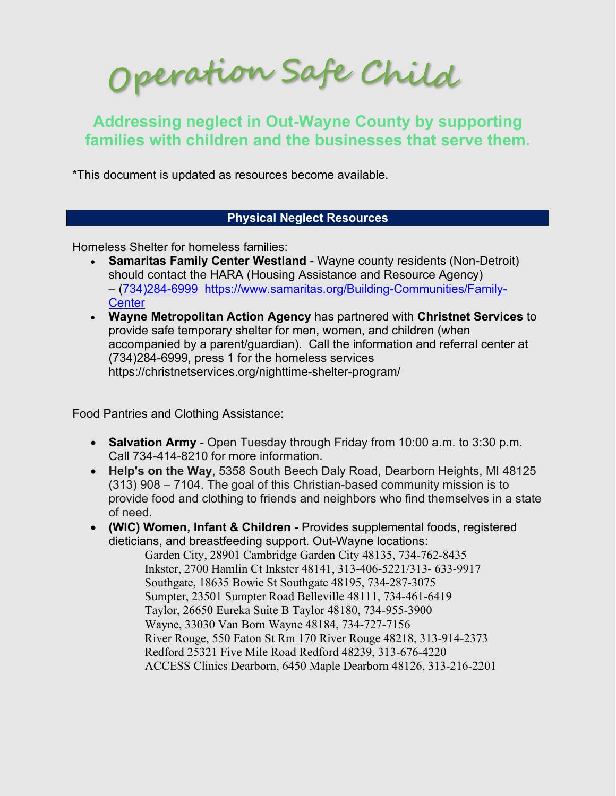Operation Safe Child

## **Addressing neglect in Out-Wayne County by supporting families with children and the businesses that serve them.**

\*This document is updated as resources become available.

## **Physical Neglect Resources**

Homeless Shelter for homeless families:

- **Samaritas Family Center Westland** Wayne county residents (Non-Detroit) should contact the HARA (Housing Assistance and Resource Agency) – (734)284-6999 [https://www.samaritas.org/Building-Communities/Family-](https://www.samaritas.org/Building-Communities/Family-Center)**[Center](https://www.samaritas.org/Building-Communities/Family-Center)**
- **Wayne Metropolitan Action Agency** has partnered with **Christnet Services** to provide safe temporary shelter for men, women, and children (when accompanied by a parent/guardian). Call the information and referral center at (734)284-6999, press 1 for the homeless services https://christnetservices.org/nighttime-shelter-program/

Food Pantries and Clothing Assistance:

- **Salvation Army** Open Tuesday through Friday from 10:00 a.m. to 3:30 p.m. Call 734-414-8210 for more information.
- **Help's on the Way**, 5358 South Beech Daly Road, Dearborn Heights, MI 48125 (313) 908 – 7104. The goal of this Christian-based community mission is to provide food and clothing to friends and neighbors who find themselves in a state of need.
- **(WIC) Women, Infant & Children** Provides supplemental foods, registered dieticians, and breastfeeding support. Out-Wayne locations:

Garden City, 28901 Cambridge Garden City 48135, 734-762-8435 Inkster, 2700 Hamlin Ct Inkster 48141, 313-406-5221/313- 633-9917 Southgate, 18635 Bowie St Southgate 48195, 734-287-3075 Sumpter, 23501 Sumpter Road Belleville 48111, 734-461-6419 Taylor, 26650 Eureka Suite B Taylor 48180, 734-955-3900 Wayne, 33030 Van Born Wayne 48184, 734-727-7156 River Rouge, 550 Eaton St Rm 170 River Rouge 48218, 313-914-2373 Redford 25321 Five Mile Road Redford 48239, 313-676-4220 ACCESS Clinics Dearborn, 6450 Maple Dearborn 48126, 313-216-2201